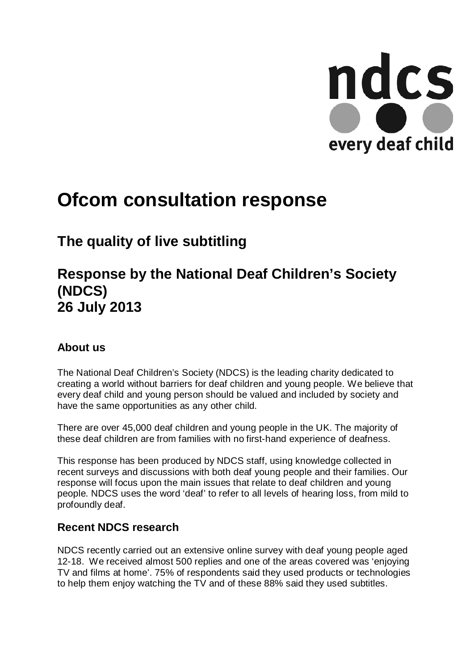

# **Ofcom consultation response**

# **The quality of live subtitling**

# **Response by the National Deaf Children's Society (NDCS) 26 July 2013**

## **About us**

The National Deaf Children's Society (NDCS) is the leading charity dedicated to creating a world without barriers for deaf children and young people. We believe that every deaf child and young person should be valued and included by society and have the same opportunities as any other child.

There are over 45,000 deaf children and young people in the UK. The majority of these deaf children are from families with no first-hand experience of deafness.

This response has been produced by NDCS staff, using knowledge collected in recent surveys and discussions with both deaf young people and their families. Our response will focus upon the main issues that relate to deaf children and young people. NDCS uses the word 'deaf' to refer to all levels of hearing loss, from mild to profoundly deaf.

## **Recent NDCS research**

NDCS recently carried out an extensive online survey with deaf young people aged 12-18. We received almost 500 replies and one of the areas covered was 'enjoying TV and films at home'. 75% of respondents said they used products or technologies to help them enjoy watching the TV and of these 88% said they used subtitles.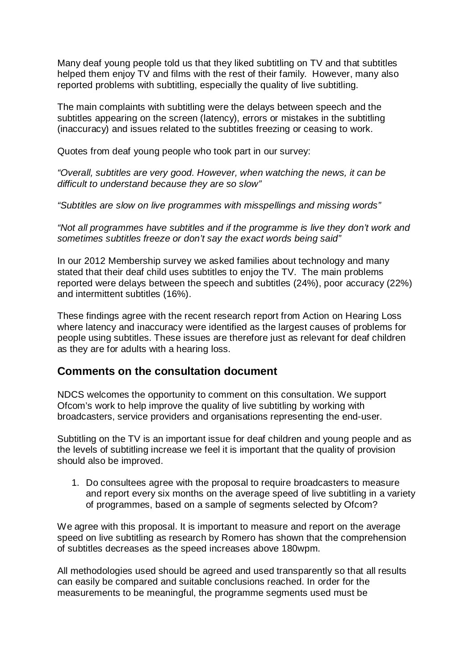Many deaf young people told us that they liked subtitling on TV and that subtitles helped them enjoy TV and films with the rest of their family. However, many also reported problems with subtitling, especially the quality of live subtitling.

The main complaints with subtitling were the delays between speech and the subtitles appearing on the screen (latency), errors or mistakes in the subtitling (inaccuracy) and issues related to the subtitles freezing or ceasing to work.

Quotes from deaf young people who took part in our survey:

*"Overall, subtitles are very good. However, when watching the news, it can be difficult to understand because they are so slow"*

*"Subtitles are slow on live programmes with misspellings and missing words"*

*"Not all programmes have subtitles and if the programme is live they don't work and sometimes subtitles freeze or don't say the exact words being said"*

In our 2012 Membership survey we asked families about technology and many stated that their deaf child uses subtitles to enjoy the TV. The main problems reported were delays between the speech and subtitles (24%), poor accuracy (22%) and intermittent subtitles (16%).

These findings agree with the recent research report from Action on Hearing Loss where latency and inaccuracy were identified as the largest causes of problems for people using subtitles. These issues are therefore just as relevant for deaf children as they are for adults with a hearing loss.

### **Comments on the consultation document**

NDCS welcomes the opportunity to comment on this consultation. We support Ofcom's work to help improve the quality of live subtitling by working with broadcasters, service providers and organisations representing the end-user.

Subtitling on the TV is an important issue for deaf children and young people and as the levels of subtitling increase we feel it is important that the quality of provision should also be improved.

1. Do consultees agree with the proposal to require broadcasters to measure and report every six months on the average speed of live subtitling in a variety of programmes, based on a sample of segments selected by Ofcom?

We agree with this proposal. It is important to measure and report on the average speed on live subtitling as research by Romero has shown that the comprehension of subtitles decreases as the speed increases above 180wpm.

All methodologies used should be agreed and used transparently so that all results can easily be compared and suitable conclusions reached. In order for the measurements to be meaningful, the programme segments used must be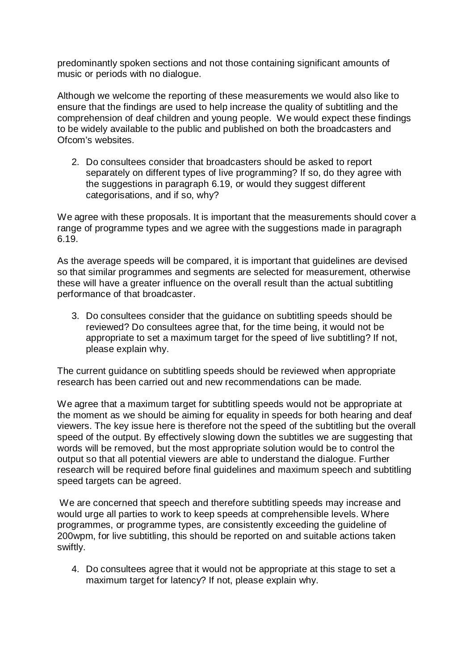predominantly spoken sections and not those containing significant amounts of music or periods with no dialogue.

Although we welcome the reporting of these measurements we would also like to ensure that the findings are used to help increase the quality of subtitling and the comprehension of deaf children and young people. We would expect these findings to be widely available to the public and published on both the broadcasters and Ofcom's websites.

2. Do consultees consider that broadcasters should be asked to report separately on different types of live programming? If so, do they agree with the suggestions in paragraph 6.19, or would they suggest different categorisations, and if so, why?

We agree with these proposals. It is important that the measurements should cover a range of programme types and we agree with the suggestions made in paragraph 6.19.

As the average speeds will be compared, it is important that guidelines are devised so that similar programmes and segments are selected for measurement, otherwise these will have a greater influence on the overall result than the actual subtitling performance of that broadcaster.

3. Do consultees consider that the guidance on subtitling speeds should be reviewed? Do consultees agree that, for the time being, it would not be appropriate to set a maximum target for the speed of live subtitling? If not, please explain why.

The current guidance on subtitling speeds should be reviewed when appropriate research has been carried out and new recommendations can be made.

We agree that a maximum target for subtitling speeds would not be appropriate at the moment as we should be aiming for equality in speeds for both hearing and deaf viewers. The key issue here is therefore not the speed of the subtitling but the overall speed of the output. By effectively slowing down the subtitles we are suggesting that words will be removed, but the most appropriate solution would be to control the output so that all potential viewers are able to understand the dialogue. Further research will be required before final guidelines and maximum speech and subtitling speed targets can be agreed.

We are concerned that speech and therefore subtitling speeds may increase and would urge all parties to work to keep speeds at comprehensible levels. Where programmes, or programme types, are consistently exceeding the guideline of 200wpm, for live subtitling, this should be reported on and suitable actions taken swiftly.

4. Do consultees agree that it would not be appropriate at this stage to set a maximum target for latency? If not, please explain why.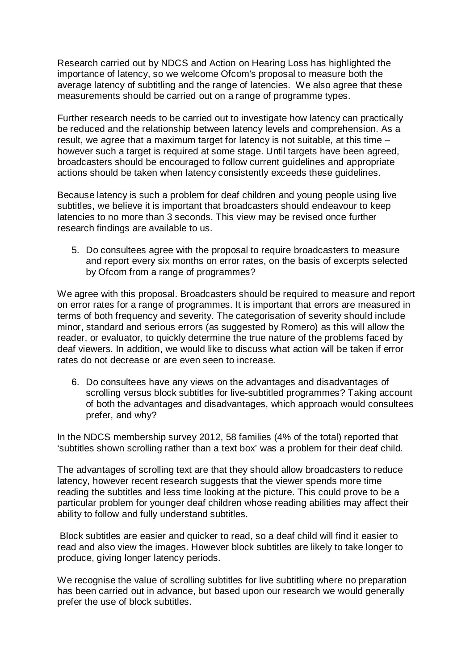Research carried out by NDCS and Action on Hearing Loss has highlighted the importance of latency, so we welcome Ofcom's proposal to measure both the average latency of subtitling and the range of latencies. We also agree that these measurements should be carried out on a range of programme types.

Further research needs to be carried out to investigate how latency can practically be reduced and the relationship between latency levels and comprehension. As a result, we agree that a maximum target for latency is not suitable, at this time – however such a target is required at some stage. Until targets have been agreed, broadcasters should be encouraged to follow current guidelines and appropriate actions should be taken when latency consistently exceeds these guidelines.

Because latency is such a problem for deaf children and young people using live subtitles, we believe it is important that broadcasters should endeavour to keep latencies to no more than 3 seconds. This view may be revised once further research findings are available to us.

5. Do consultees agree with the proposal to require broadcasters to measure and report every six months on error rates, on the basis of excerpts selected by Ofcom from a range of programmes?

We agree with this proposal. Broadcasters should be required to measure and report on error rates for a range of programmes. It is important that errors are measured in terms of both frequency and severity. The categorisation of severity should include minor, standard and serious errors (as suggested by Romero) as this will allow the reader, or evaluator, to quickly determine the true nature of the problems faced by deaf viewers. In addition, we would like to discuss what action will be taken if error rates do not decrease or are even seen to increase.

6. Do consultees have any views on the advantages and disadvantages of scrolling versus block subtitles for live-subtitled programmes? Taking account of both the advantages and disadvantages, which approach would consultees prefer, and why?

In the NDCS membership survey 2012, 58 families (4% of the total) reported that 'subtitles shown scrolling rather than a text box' was a problem for their deaf child.

The advantages of scrolling text are that they should allow broadcasters to reduce latency, however recent research suggests that the viewer spends more time reading the subtitles and less time looking at the picture. This could prove to be a particular problem for younger deaf children whose reading abilities may affect their ability to follow and fully understand subtitles.

Block subtitles are easier and quicker to read, so a deaf child will find it easier to read and also view the images. However block subtitles are likely to take longer to produce, giving longer latency periods.

We recognise the value of scrolling subtitles for live subtitling where no preparation has been carried out in advance, but based upon our research we would generally prefer the use of block subtitles.